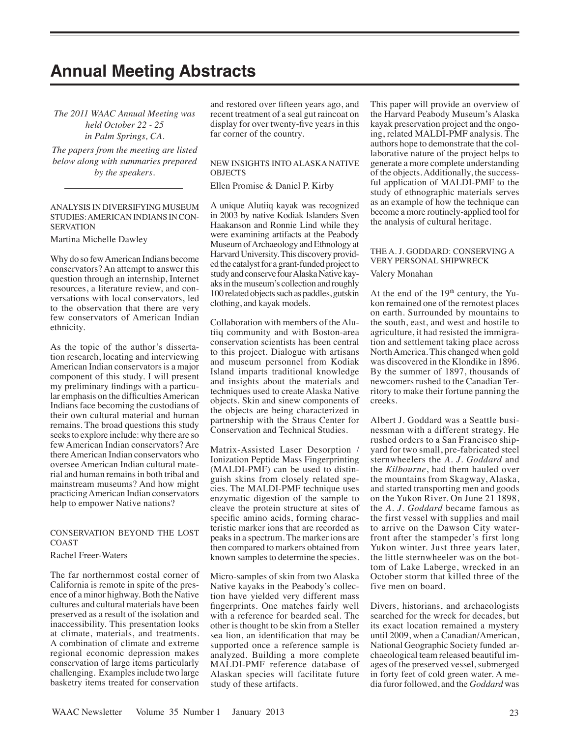# **Annual Meeting Abstracts**

*The 2011 WAAC Annual Meeting was held October 22 - 25 in Palm Springs, CA.* 

*The papers from the meeting are listed below along with summaries prepared by the speakers.*

#### ANALYSIS IN DIVERSIFYING MUSEUM STUDIES: AMERICAN INDIANS IN CON-**SERVATION**

Martina Michelle Dawley

Why do so few American Indians become conservators? An attempt to answer this question through an internship, Internet resources, a literature review, and conversations with local conservators, led to the observation that there are very few conservators of American Indian ethnicity.

As the topic of the author's dissertation research, locating and interviewing American Indian conservators is a major component of this study. I will present my preliminary findings with a particular emphasis on the difficulties American Indians face becoming the custodians of their own cultural material and human remains. The broad questions this study seeks to explore include: why there are so few American Indian conservators? Are there American Indian conservators who oversee American Indian cultural material and human remains in both tribal and mainstream museums? And how might practicing American Indian conservators help to empower Native nations?

## CONSERVATION BEYOND THE LOST COAST

Rachel Freer-Waters

The far northernmost costal corner of California is remote in spite of the presence of a minor highway. Both the Native cultures and cultural materials have been preserved as a result of the isolation and inaccessibility. This presentation looks at climate, materials, and treatments. A combination of climate and extreme regional economic depression makes conservation of large items particularly challenging. Examples include two large basketry items treated for conservation

and restored over fifteen years ago, and recent treatment of a seal gut raincoat on display for over twenty-five years in this far corner of the country.

# NEW INSIGHTS INTO ALASKA NATIVE OBJECTS

Ellen Promise & Daniel P. Kirby

A unique Alutiiq kayak was recognized in 2003 by native Kodiak Islanders Sven Haakanson and Ronnie Lind while they were examining artifacts at the Peabody Museum of Archaeology and Ethnology at Harvard University. This discovery provided the catalyst for a grant-funded project to study and conserve four Alaska Native kayaks in the museum's collection and roughly 100 related objects such as paddles, gutskin clothing, and kayak models.

Collaboration with members of the Alutiiq community and with Boston-area conservation scientists has been central to this project. Dialogue with artisans and museum personnel from Kodiak Island imparts traditional knowledge and insights about the materials and techniques used to create Alaska Native objects. Skin and sinew components of the objects are being characterized in partnership with the Straus Center for Conservation and Technical Studies.

Matrix-Assisted Laser Desorption / Ionization Peptide Mass Fingerprinting (MALDI-PMF) can be used to distinguish skins from closely related species. The MALDI-PMF technique uses enzymatic digestion of the sample to cleave the protein structure at sites of specific amino acids, forming characteristic marker ions that are recorded as peaks in a spectrum. The marker ions are then compared to markers obtained from known samples to determine the species.

Micro-samples of skin from two Alaska Native kayaks in the Peabody's collection have yielded very different mass fingerprints. One matches fairly well with a reference for bearded seal. The other is thought to be skin from a Steller sea lion, an identification that may be supported once a reference sample is analyzed. Building a more complete MALDI-PMF reference database of Alaskan species will facilitate future study of these artifacts.

This paper will provide an overview of the Harvard Peabody Museum's Alaska kayak preservation project and the ongoing, related MALDI-PMF analysis. The authors hope to demonstrate that the collaborative nature of the project helps to generate a more complete understanding of the objects. Additionally, the successful application of MALDI-PMF to the study of ethnographic materials serves as an example of how the technique can become a more routinely-applied tool for the analysis of cultural heritage.

# THE A. J. GODDARD: CONSERVING A VERY PERSONAL SHIPWRECK

Valery Monahan

At the end of the 19<sup>th</sup> century, the Yukon remained one of the remotest places on earth. Surrounded by mountains to the south, east, and west and hostile to agriculture, it had resisted the immigration and settlement taking place across North America. This changed when gold was discovered in the Klondike in 1896. By the summer of 1897, thousands of newcomers rushed to the Canadian Territory to make their fortune panning the creeks.

Albert J. Goddard was a Seattle businessman with a different strategy. He rushed orders to a San Francisco shipyard for two small, pre-fabricated steel sternwheelers the *A. J. Goddard* and the *Kilbourne*, had them hauled over the mountains from Skagway, Alaska, and started transporting men and goods on the Yukon River. On June 21 1898, the *A. J. Goddard* became famous as the first vessel with supplies and mail to arrive on the Dawson City waterfront after the stampeder's first long Yukon winter. Just three years later, the little sternwheeler was on the bottom of Lake Laberge, wrecked in an October storm that killed three of the five men on board.

Divers, historians, and archaeologists searched for the wreck for decades, but its exact location remained a mystery until 2009, when a Canadian/American, National Geographic Society funded archaeological team released beautiful images of the preserved vessel, submerged in forty feet of cold green water. A media furor followed, and the *Goddard* was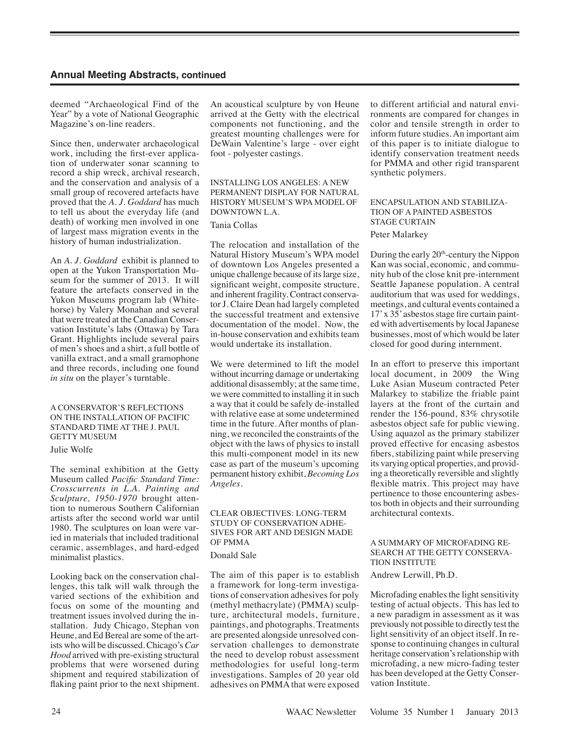# **Annual Meeting Abstracts, continued**

deemed "Archaeological Find of the Year" by a vote of National Geographic Magazine's on-line readers.

Since then, underwater archaeological work, including the first-ever application of underwater sonar scanning to record a ship wreck, archival research, and the conservation and analysis of a small group of recovered artefacts have proved that the *A. J. Goddard* has much to tell us about the everyday life (and death) of working men involved in one of largest mass migration events in the history of human industrialization.

An *A. J. Goddard* exhibit is planned to open at the Yukon Transportation Museum for the summer of 2013. It will feature the artefacts conserved in the Yukon Museums program lab (Whitehorse) by Valery Monahan and several that were treated at the Canadian Conservation Institute's labs (Ottawa) by Tara Grant. Highlights include several pairs of men's shoes and a shirt, a full bottle of vanilla extract, and a small gramophone and three records, including one found *in situ* on the player's turntable.

## A CONSERVATOR'S REFLECTIONS ON THE INSTALLATION OF PACIFIC STANDARD TIME AT THE J. PAUL GETTY MUSEUM

#### Julie Wolfe

The seminal exhibition at the Getty Museum called *Pacific Standard Time: Crosscurrents in L.A. Painting and Sculpture, 1950-1970* brought attention to numerous Southern Californian artists after the second world war until 1980. The sculptures on loan were varied in materials that included traditional ceramic, assemblages, and hard-edged minimalist plastics.

Looking back on the conservation challenges, this talk will walk through the varied sections of the exhibition and focus on some of the mounting and treatment issues involved during the installation. Judy Chicago, Stephan von Heune, and Ed Bereal are some of the artists who will be discussed. Chicago's *Car Hood* arrived with pre-existing structural problems that were worsened during shipment and required stabilization of flaking paint prior to the next shipment.

An acoustical sculpture by von Heune arrived at the Getty with the electrical components not functioning, and the greatest mounting challenges were for DeWain Valentine's large - over eight foot - polyester castings.

# INSTALLING LOS ANGELES: A NEW PERMANENT DISPLAY FOR NATURAL HISTORY MUSEUM'S WPA MODEL OF DOWNTOWN L.A.

# Tania Collas

The relocation and installation of the Natural History Museum's WPA model of downtown Los Angeles presented a unique challenge because of its large size, significant weight, composite structure, and inherent fragility. Contract conservator J. Claire Dean had largely completed the successful treatment and extensive documentation of the model. Now, the in-house conservation and exhibits team would undertake its installation.

We were determined to lift the model without incurring damage or undertaking additional disassembly; at the same time, we were committed to installing it in such a way that it could be safely de-installed with relative ease at some undetermined time in the future. After months of planning, we reconciled the constraints of the object with the laws of physics to install this multi-component model in its new case as part of the museum's upcoming permanent history exhibit, *Becoming Los Angeles*.

# CLEAR OBJECTIVES: LONG-TERM STUDY OF CONSERVATION ADHE-SIVES FOR ART AND DESIGN MADE OF PMMA Donald Sale

The aim of this paper is to establish a framework for long-term investigations of conservation adhesives for poly (methyl methacrylate) (PMMA) sculpture, architectural models, furniture, paintings, and photographs. Treatments are presented alongside unresolved conservation challenges to demonstrate the need to develop robust assessment methodologies for useful long-term investigations. Samples of 20 year old adhesives on PMMA that were exposed to different artificial and natural environments are compared for changes in color and tensile strength in order to inform future studies. An important aim of this paper is to initiate dialogue to identify conservation treatment needs for PMMA and other rigid transparent synthetic polymers.

# ENCAPSULATION AND STABILIZA-TION OF A PAINTED ASBESTOS STAGE CURTAIN

#### Peter Malarkey

During the early 20<sup>th</sup>-century the Nippon Kan was social, economic, and community hub of the close knit pre-internment Seattle Japanese population. A central auditorium that was used for weddings, meetings, and cultural events contained a 17' x 35' asbestos stage fire curtain painted with advertisements by local Japanese businesses, most of which would be later closed for good during internment.

In an effort to preserve this important local document, in 2009 the Wing Luke Asian Museum contracted Peter Malarkey to stabilize the friable paint layers at the front of the curtain and render the 156-pound, 83% chrysotile asbestos object safe for public viewing. Using aquazol as the primary stabilizer proved effective for encasing asbestos fibers, stabilizing paint while preserving its varying optical properties, and providing a theoretically reversible and slightly flexible matrix. This project may have pertinence to those encountering asbestos both in objects and their surrounding architectural contexts.

#### A SUMMARY OF MICROFADING RE-SEARCH AT THE GETTY CONSERVA-TION INSTITUTE

Andrew Lerwill, Ph.D.

Microfading enables the light sensitivity testing of actual objects. This has led to a new paradigm in assessment as it was previously not possible to directly test the light sensitivity of an object itself. In response to continuing changes in cultural heritage conservation's relationship with microfading, a new micro-fading tester has been developed at the Getty Conservation Institute.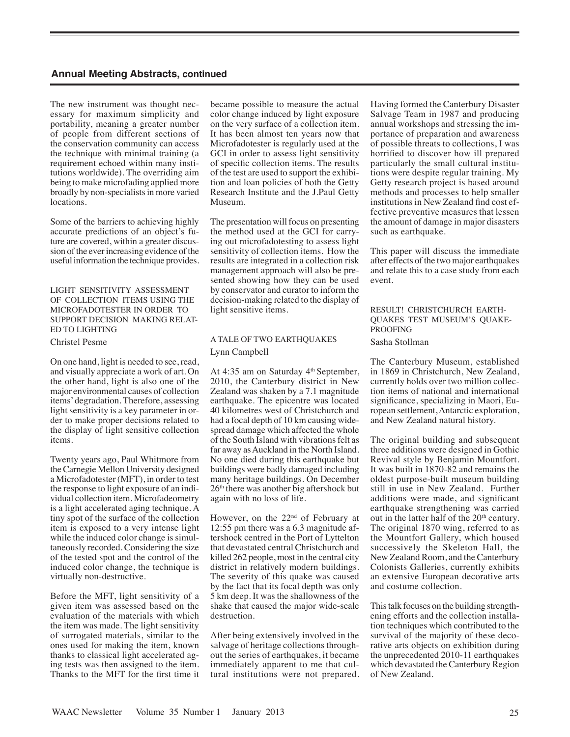# **Annual Meeting Abstracts, continued**

The new instrument was thought necessary for maximum simplicity and portability, meaning a greater number of people from different sections of the conservation community can access the technique with minimal training (a requirement echoed within many institutions worldwide). The overriding aim being to make microfading applied more broadly by non-specialists in more varied locations.

Some of the barriers to achieving highly accurate predictions of an object's future are covered, within a greater discussion of the ever increasing evidence of the useful information the technique provides.

#### LIGHT SENSITIVITY ASSESSMENT OF COLLECTION ITEMS USING THE MICROFADOTESTER IN ORDER TO SUPPORT DECISION MAKING RELAT-ED TO LIGHTING

Christel Pesme

On one hand, light is needed to see, read, and visually appreciate a work of art. On the other hand, light is also one of the major environmental causes of collection items' degradation. Therefore, assessing light sensitivity is a key parameter in order to make proper decisions related to the display of light sensitive collection items.

Twenty years ago, Paul Whitmore from the Carnegie Mellon University designed a Microfadotester (MFT), in order to test the response to light exposure of an individual collection item. Microfadeometry is a light accelerated aging technique. A tiny spot of the surface of the collection item is exposed to a very intense light while the induced color change is simultaneously recorded. Considering the size of the tested spot and the control of the induced color change, the technique is virtually non-destructive.

Before the MFT, light sensitivity of a given item was assessed based on the evaluation of the materials with which the item was made. The light sensitivity of surrogated materials, similar to the ones used for making the item, known thanks to classical light accelerated aging tests was then assigned to the item. Thanks to the MFT for the first time it became possible to measure the actual color change induced by light exposure on the very surface of a collection item. It has been almost ten years now that Microfadotester is regularly used at the GCI in order to assess light sensitivity of specific collection items. The results of the test are used to support the exhibition and loan policies of both the Getty Research Institute and the J.Paul Getty Museum.

The presentation will focus on presenting the method used at the GCI for carrying out microfadotesting to assess light sensitivity of collection items. How the results are integrated in a collection risk management approach will also be presented showing how they can be used by conservator and curator to inform the decision-making related to the display of light sensitive items.

# A TALE OF TWO EARTHQUAKES Lynn Campbell

At 4:35 am on Saturday  $4<sup>th</sup>$  September, 2010, the Canterbury district in New Zealand was shaken by a 7.1 magnitude earthquake. The epicentre was located 40 kilometres west of Christchurch and had a focal depth of 10 km causing widespread damage which affected the whole of the South Island with vibrations felt as far away as Auckland in the North Island. No one died during this earthquake but buildings were badly damaged including many heritage buildings. On December 26<sup>th</sup> there was another big aftershock but again with no loss of life.

However, on the 22nd of February at 12:55 pm there was a 6.3 magnitude aftershock centred in the Port of Lyttelton that devastated central Christchurch and killed 262 people, most in the central city district in relatively modern buildings. The severity of this quake was caused by the fact that its focal depth was only 5 km deep. It was the shallowness of the shake that caused the major wide-scale destruction.

After being extensively involved in the salvage of heritage collections throughout the series of earthquakes, it became immediately apparent to me that cultural institutions were not prepared. Having formed the Canterbury Disaster Salvage Team in 1987 and producing annual workshops and stressing the importance of preparation and awareness of possible threats to collections, I was horrified to discover how ill prepared particularly the small cultural institutions were despite regular training. My Getty research project is based around methods and processes to help smaller institutions in New Zealand find cost effective preventive measures that lessen the amount of damage in major disasters such as earthquake.

This paper will discuss the immediate after effects of the two major earthquakes and relate this to a case study from each event.

#### RESULT! CHRISTCHURCH EARTH-QUAKES TEST MUSEUM'S QUAKE-PROOFING

#### Sasha Stollman

The Canterbury Museum, established in 1869 in Christchurch, New Zealand, currently holds over two million collection items of national and international significance, specializing in Maori, European settlement, Antarctic exploration, and New Zealand natural history.

The original building and subsequent three additions were designed in Gothic Revival style by Benjamin Mountfort. It was built in 1870-82 and remains the oldest purpose-built museum building still in use in New Zealand. Further additions were made, and significant earthquake strengthening was carried out in the latter half of the  $20<sup>th</sup>$  century. The original 1870 wing, referred to as the Mountfort Gallery, which housed successively the Skeleton Hall, the New Zealand Room, and the Canterbury Colonists Galleries, currently exhibits an extensive European decorative arts and costume collection.

This talk focuses on the building strengthening efforts and the collection installation techniques which contributed to the survival of the majority of these decorative arts objects on exhibition during the unprecedented 2010-11 earthquakes which devastated the Canterbury Region of New Zealand.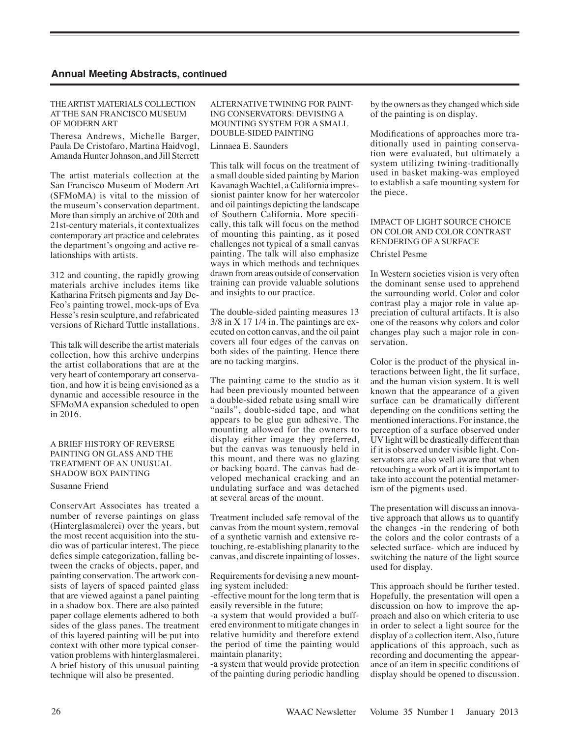#### THE ARTIST MATERIALS COLLECTION AT THE SAN FRANCISCO MUSEUM OF MODERN ART

Theresa Andrews, Michelle Barger, Paula De Cristofaro, Martina Haidvogl, Amanda Hunter Johnson, and Jill Sterrett

The artist materials collection at the San Francisco Museum of Modern Art (SFMoMA) is vital to the mission of the museum's conservation department. More than simply an archive of 20th and 21st-century materials, it contextualizes contemporary art practice and celebrates the department's ongoing and active relationships with artists.

312 and counting, the rapidly growing materials archive includes items like Katharina Fritsch pigments and Jay De-Feo's painting trowel, mock-ups of Eva Hesse's resin sculpture, and refabricated versions of Richard Tuttle installations.

This talk will describe the artist materials collection, how this archive underpins the artist collaborations that are at the very heart of contemporary art conservation, and how it is being envisioned as a dynamic and accessible resource in the SFMoMA expansion scheduled to open in 2016.

## A BRIEF HISTORY OF REVERSE PAINTING ON GLASS AND THE TREATMENT OF AN UNUSUAL SHADOW BOX PAINTING

Susanne Friend

ConservArt Associates has treated a number of reverse paintings on glass (Hinterglasmalerei) over the years, but the most recent acquisition into the studio was of particular interest. The piece defies simple categorization, falling between the cracks of objects, paper, and painting conservation. The artwork consists of layers of spaced painted glass that are viewed against a panel painting in a shadow box. There are also painted paper collage elements adhered to both sides of the glass panes. The treatment of this layered painting will be put into context with other more typical conservation problems with hinterglasmalerei. A brief history of this unusual painting technique will also be presented.

#### ALTERNATIVE TWINING FOR PAINT-ING CONSERVATORS: DEVISING A MOUNTING SYSTEM FOR A SMALL DOUBLE-SIDED PAINTING

Linnaea E. Saunders

This talk will focus on the treatment of a small double sided painting by Marion Kavanagh Wachtel, a California impressionist painter know for her watercolor and oil paintings depicting the landscape of Southern California. More specifically, this talk will focus on the method of mounting this painting, as it posed challenges not typical of a small canvas painting. The talk will also emphasize ways in which methods and techniques drawn from areas outside of conservation training can provide valuable solutions and insights to our practice.

The double-sided painting measures 13 3/8 in X 17 1/4 in. The paintings are executed on cotton canvas, and the oil paint covers all four edges of the canvas on both sides of the painting. Hence there are no tacking margins.

The painting came to the studio as it had been previously mounted between a double-sided rebate using small wire "nails", double-sided tape, and what appears to be glue gun adhesive. The mounting allowed for the owners to display either image they preferred, but the canvas was tenuously held in this mount, and there was no glazing or backing board. The canvas had developed mechanical cracking and an undulating surface and was detached at several areas of the mount.

Treatment included safe removal of the canvas from the mount system, removal of a synthetic varnish and extensive retouching, re-establishing planarity to the canvas, and discrete inpainting of losses.

Requirements for devising a new mounting system included:

-effective mount for the long term that is easily reversible in the future;

-a system that would provided a buffered environment to mitigate changes in relative humidity and therefore extend the period of time the painting would maintain planarity;

-a system that would provide protection of the painting during periodic handling by the owners as they changed which side of the painting is on display.

Modifications of approaches more traditionally used in painting conservation were evaluated, but ultimately a system utilizing twining-traditionally used in basket making-was employed to establish a safe mounting system for the piece.

# IMPACT OF LIGHT SOURCE CHOICE ON COLOR AND COLOR CONTRAST RENDERING OF A SURFACE

# Christel Pesme

In Western societies vision is very often the dominant sense used to apprehend the surrounding world. Color and color contrast play a major role in value appreciation of cultural artifacts. It is also one of the reasons why colors and color changes play such a major role in conservation.

Color is the product of the physical interactions between light, the lit surface, and the human vision system. It is well known that the appearance of a given surface can be dramatically different depending on the conditions setting the mentioned interactions. For instance, the perception of a surface observed under UV light will be drastically different than if it is observed under visible light. Conservators are also well aware that when retouching a work of art it is important to take into account the potential metamerism of the pigments used.

The presentation will discuss an innovative approach that allows us to quantify the changes -in the rendering of both the colors and the color contrasts of a selected surface- which are induced by switching the nature of the light source used for display.

This approach should be further tested. Hopefully, the presentation will open a discussion on how to improve the approach and also on which criteria to use in order to select a light source for the display of a collection item. Also, future applications of this approach, such as recording and documenting the appearance of an item in specific conditions of display should be opened to discussion.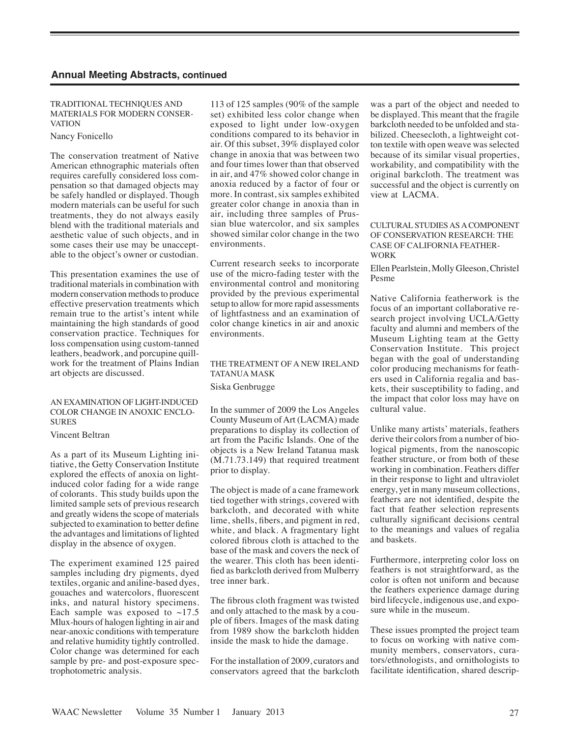## TRADITIONAL TECHNIQUES AND MATERIALS FOR MODERN CONSER-**VATION**

Nancy Fonicello

The conservation treatment of Native American ethnographic materials often requires carefully considered loss compensation so that damaged objects may be safely handled or displayed. Though modern materials can be useful for such treatments, they do not always easily blend with the traditional materials and aesthetic value of such objects, and in some cases their use may be unacceptable to the object's owner or custodian.

This presentation examines the use of traditional materials in combination with modern conservation methods to produce effective preservation treatments which remain true to the artist's intent while maintaining the high standards of good conservation practice. Techniques for loss compensation using custom-tanned leathers, beadwork, and porcupine quillwork for the treatment of Plains Indian art objects are discussed.

## AN EXAMINATION OF LIGHT-INDUCED COLOR CHANGE IN ANOXIC ENCLO-SURES

Vincent Beltran

As a part of its Museum Lighting initiative, the Getty Conservation Institute explored the effects of anoxia on lightinduced color fading for a wide range of colorants. This study builds upon the limited sample sets of previous research and greatly widens the scope of materials subjected to examination to better define the advantages and limitations of lighted display in the absence of oxygen.

The experiment examined 125 paired samples including dry pigments, dyed textiles, organic and aniline-based dyes, gouaches and watercolors, fluorescent inks, and natural history specimens. Each sample was exposed to  $~17.5$ Mlux-hours of halogen lighting in air and near-anoxic conditions with temperature and relative humidity tightly controlled. Color change was determined for each sample by pre- and post-exposure spectrophotometric analysis.

113 of 125 samples (90% of the sample set) exhibited less color change when exposed to light under low-oxygen conditions compared to its behavior in air. Of this subset, 39% displayed color change in anoxia that was between two and four times lower than that observed in air, and 47% showed color change in anoxia reduced by a factor of four or more. In contrast, six samples exhibited greater color change in anoxia than in air, including three samples of Prussian blue watercolor, and six samples showed similar color change in the two environments.

Current research seeks to incorporate use of the micro-fading tester with the environmental control and monitoring provided by the previous experimental setup to allow for more rapid assessments of lightfastness and an examination of color change kinetics in air and anoxic environments.

# THE TREATMENT OF A NEW IRELAND TATANUA MASK Siska Genbrugge

In the summer of 2009 the Los Angeles County Museum of Art (LACMA) made preparations to display its collection of art from the Pacific Islands. One of the objects is a New Ireland Tatanua mask (M.71.73.149) that required treatment prior to display.

The object is made of a cane framework tied together with strings, covered with barkcloth, and decorated with white lime, shells, fibers, and pigment in red, white, and black. A fragmentary light colored fibrous cloth is attached to the base of the mask and covers the neck of the wearer. This cloth has been identified as barkcloth derived from Mulberry tree inner bark.

The fibrous cloth fragment was twisted and only attached to the mask by a couple of fibers. Images of the mask dating from 1989 show the barkcloth hidden inside the mask to hide the damage.

For the installation of 2009, curators and conservators agreed that the barkcloth was a part of the object and needed to be displayed. This meant that the fragile barkcloth needed to be unfolded and stabilized. Cheesecloth, a lightweight cotton textile with open weave was selected because of its similar visual properties, workability, and compatibility with the original barkcloth. The treatment was successful and the object is currently on view at LACMA.

### CULTURAL STUDIES AS A COMPONENT OF CONSERVATION RESEARCH: THE CASE OF CALIFORNIA FEATHER-**WORK**

Ellen Pearlstein, Molly Gleeson, Christel Pesme

Native California featherwork is the focus of an important collaborative research project involving UCLA/Getty faculty and alumni and members of the Museum Lighting team at the Getty Conservation Institute. This project began with the goal of understanding color producing mechanisms for feathers used in California regalia and baskets, their susceptibility to fading, and the impact that color loss may have on cultural value.

Unlike many artists' materials, feathers derive their colors from a number of biological pigments, from the nanoscopic feather structure, or from both of these working in combination. Feathers differ in their response to light and ultraviolet energy, yet in many museum collections, feathers are not identified, despite the fact that feather selection represents culturally significant decisions central to the meanings and values of regalia and baskets.

Furthermore, interpreting color loss on feathers is not straightforward, as the color is often not uniform and because the feathers experience damage during bird lifecycle, indigenous use, and exposure while in the museum.

These issues prompted the project team to focus on working with native community members, conservators, curators/ethnologists, and ornithologists to facilitate identification, shared descrip-